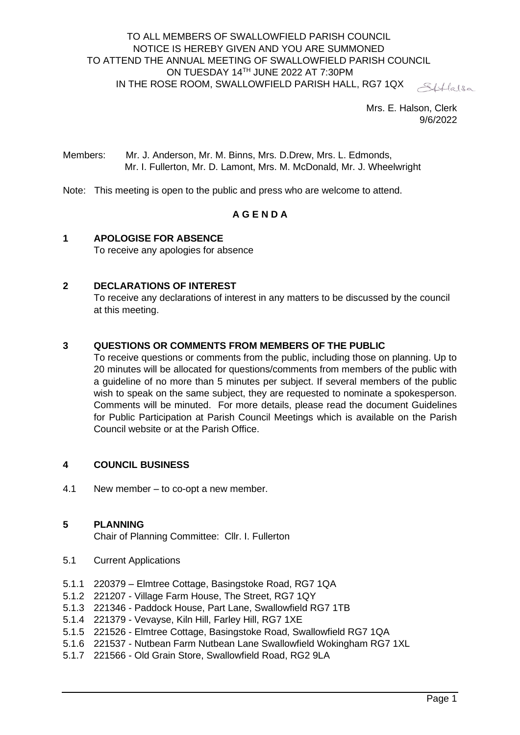#### TO ALL MEMBERS OF SWALLOWFIELD PARISH COUNCIL NOTICE IS HEREBY GIVEN AND YOU ARE SUMMONED TO ATTEND THE ANNUAL MEETING OF SWALLOWFIELD PARISH COUNCIL ON TUESDAY 14TH JUNE 2022 AT 7:30PM IN THE ROSE ROOM, SWALLOWFIELD PARISH HALL, RG7 1QX SHlalsa

Mrs. E. Halson, Clerk 9/6/2022

Members: Mr. J. Anderson, Mr. M. Binns, Mrs. D.Drew, Mrs. L. Edmonds, Mr. I. Fullerton, Mr. D. Lamont, Mrs. M. McDonald, Mr. J. Wheelwright

Note: This meeting is open to the public and press who are welcome to attend.

## **A G E N D A**

#### **1 APOLOGISE FOR ABSENCE** To receive any apologies for absence

### **2 DECLARATIONS OF INTEREST**

To receive any declarations of interest in any matters to be discussed by the council at this meeting.

### **3 QUESTIONS OR COMMENTS FROM MEMBERS OF THE PUBLIC**

To receive questions or comments from the public, including those on planning. Up to 20 minutes will be allocated for questions/comments from members of the public with a guideline of no more than 5 minutes per subject. If several members of the public wish to speak on the same subject, they are requested to nominate a spokesperson. Comments will be minuted. For more details, please read the document Guidelines for Public Participation at Parish Council Meetings which is available on the Parish Council website or at the Parish Office.

### **4 COUNCIL BUSINESS**

4.1 New member – to co-opt a new member.

#### **5 PLANNING**

Chair of Planning Committee: Cllr. I. Fullerton

- 5.1 Current Applications
- 5.1.1 220379 Elmtree Cottage, Basingstoke Road, RG7 1QA
- 5.1.2 221207 Village Farm House, The Street, RG7 1QY
- 5.1.3 221346 Paddock House, Part Lane, Swallowfield RG7 1TB
- 5.1.4 221379 Vevayse, Kiln Hill, Farley Hill, RG7 1XE
- 5.1.5 221526 Elmtree Cottage, Basingstoke Road, Swallowfield RG7 1QA
- 5.1.6 221537 Nutbean Farm Nutbean Lane Swallowfield Wokingham RG7 1XL
- 5.1.7 221566 Old Grain Store, Swallowfield Road, RG2 9LA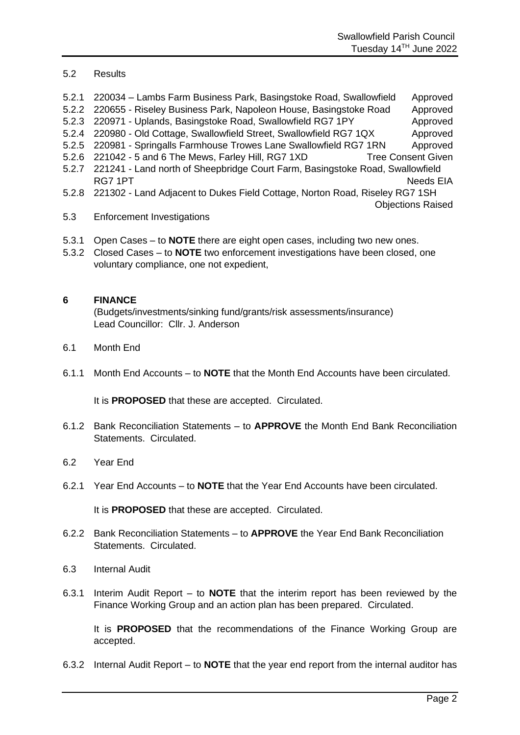### 5.2 Results

- 5.2.1 220034 Lambs Farm Business Park, Basingstoke Road, Swallowfield Approved
- 5.2.2 220655 Riseley Business Park, Napoleon House, Basingstoke Road Approved
- 5.2.3 220971 Uplands, Basingstoke Road, Swallowfield RG7 1PY Approved
- 5.2.4 220980 Old Cottage, Swallowfield Street, Swallowfield RG7 1QX Approved
- 5.2.5 220981 Springalls Farmhouse Trowes Lane Swallowfield RG7 1RN Approved
- 5.2.6 221042 5 and 6 The Mews, Farley Hill, RG7 1XD Tree Consent Given
- 5.2.7 221241 Land north of Sheepbridge Court Farm, Basingstoke Road, Swallowfield RG7 1PT Needs EIA
- 5.2.8 221302 Land Adjacent to Dukes Field Cottage, Norton Road, Riseley RG7 1SH Objections Raised
- 5.3 Enforcement Investigations
- 5.3.1 Open Cases to **NOTE** there are eight open cases, including two new ones.
- 5.3.2 Closed Cases to **NOTE** two enforcement investigations have been closed, one voluntary compliance, one not expedient,

#### **6 FINANCE**

(Budgets/investments/sinking fund/grants/risk assessments/insurance) Lead Councillor: Cllr. J. Anderson

- 6.1 Month End
- 6.1.1 Month End Accounts to **NOTE** that the Month End Accounts have been circulated.

It is **PROPOSED** that these are accepted. Circulated.

- 6.1.2 Bank Reconciliation Statements to **APPROVE** the Month End Bank Reconciliation Statements. Circulated.
- 6.2 Year End
- 6.2.1 Year End Accounts to **NOTE** that the Year End Accounts have been circulated.

It is **PROPOSED** that these are accepted. Circulated.

- 6.2.2 Bank Reconciliation Statements to **APPROVE** the Year End Bank Reconciliation Statements. Circulated.
- 6.3 Internal Audit
- 6.3.1 Interim Audit Report to **NOTE** that the interim report has been reviewed by the Finance Working Group and an action plan has been prepared. Circulated.

It is **PROPOSED** that the recommendations of the Finance Working Group are accepted.

6.3.2 Internal Audit Report – to **NOTE** that the year end report from the internal auditor has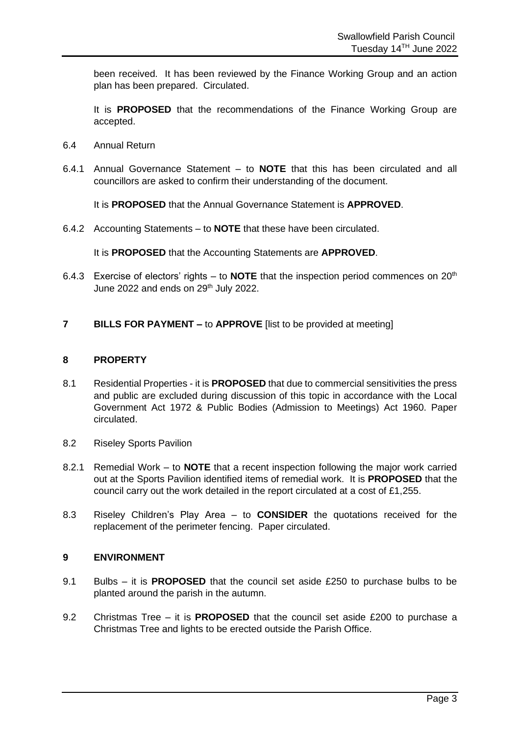been received. It has been reviewed by the Finance Working Group and an action plan has been prepared. Circulated.

It is **PROPOSED** that the recommendations of the Finance Working Group are accepted.

- 6.4 Annual Return
- 6.4.1 Annual Governance Statement to **NOTE** that this has been circulated and all councillors are asked to confirm their understanding of the document.

It is **PROPOSED** that the Annual Governance Statement is **APPROVED**.

6.4.2 Accounting Statements – to **NOTE** that these have been circulated.

It is **PROPOSED** that the Accounting Statements are **APPROVED**.

- 6.4.3 Exercise of electors' rights to **NOTE** that the inspection period commences on 20<sup>th</sup> June 2022 and ends on 29<sup>th</sup> July 2022.
- **7 BILLS FOR PAYMENT –** to **APPROVE** [list to be provided at meeting]

#### **8 PROPERTY**

- 8.1 Residential Properties it is **PROPOSED** that due to commercial sensitivities the press and public are excluded during discussion of this topic in accordance with the Local Government Act 1972 & Public Bodies (Admission to Meetings) Act 1960. Paper circulated.
- 8.2 Riseley Sports Pavilion
- 8.2.1 Remedial Work to **NOTE** that a recent inspection following the major work carried out at the Sports Pavilion identified items of remedial work. It is **PROPOSED** that the council carry out the work detailed in the report circulated at a cost of £1,255.
- 8.3 Riseley Children's Play Area to **CONSIDER** the quotations received for the replacement of the perimeter fencing. Paper circulated.

#### **9 ENVIRONMENT**

- 9.1 Bulbs it is **PROPOSED** that the council set aside £250 to purchase bulbs to be planted around the parish in the autumn.
- 9.2 Christmas Tree it is **PROPOSED** that the council set aside £200 to purchase a Christmas Tree and lights to be erected outside the Parish Office.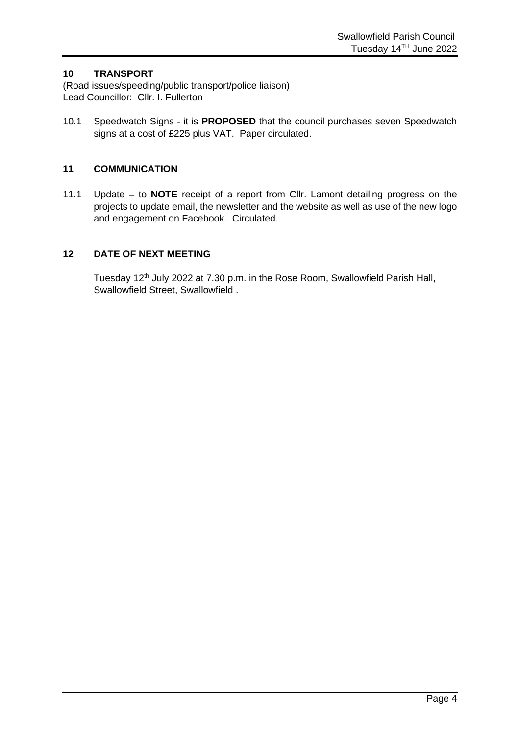### **10 TRANSPORT**

(Road issues/speeding/public transport/police liaison) Lead Councillor: Cllr. I. Fullerton

10.1 Speedwatch Signs - it is **PROPOSED** that the council purchases seven Speedwatch signs at a cost of £225 plus VAT. Paper circulated.

### **11 COMMUNICATION**

11.1 Update – to **NOTE** receipt of a report from Cllr. Lamont detailing progress on the projects to update email, the newsletter and the website as well as use of the new logo and engagement on Facebook. Circulated.

## **12 DATE OF NEXT MEETING**

Tuesday 12<sup>th</sup> July 2022 at 7.30 p.m. in the Rose Room, Swallowfield Parish Hall, Swallowfield Street, Swallowfield .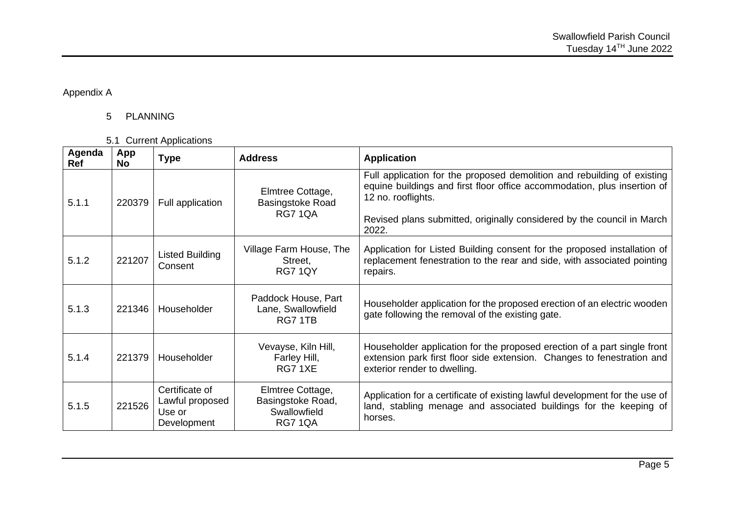Appendix A

# 5 PLANNING

5.1 Current Applications

| Agenda<br><b>Ref</b> | App<br><b>No</b> | <b>Type</b>                                                | <b>Address</b>                                                          | <b>Application</b>                                                                                                                                                                                                                                  |
|----------------------|------------------|------------------------------------------------------------|-------------------------------------------------------------------------|-----------------------------------------------------------------------------------------------------------------------------------------------------------------------------------------------------------------------------------------------------|
| 5.1.1                | 220379           | Full application                                           | Elmtree Cottage,<br><b>Basingstoke Road</b><br><b>RG7 1QA</b>           | Full application for the proposed demolition and rebuilding of existing<br>equine buildings and first floor office accommodation, plus insertion of<br>12 no. rooflights.<br>Revised plans submitted, originally considered by the council in March |
|                      |                  |                                                            |                                                                         | 2022.                                                                                                                                                                                                                                               |
| 5.1.2                | 221207           | Listed Building<br>Consent                                 | Village Farm House, The<br>Street,<br><b>RG7 1QY</b>                    | Application for Listed Building consent for the proposed installation of<br>replacement fenestration to the rear and side, with associated pointing<br>repairs.                                                                                     |
| 5.1.3                | 221346           | Householder                                                | Paddock House, Part<br>Lane, Swallowfield<br>RG7 1TB                    | Householder application for the proposed erection of an electric wooden<br>gate following the removal of the existing gate.                                                                                                                         |
| 5.1.4                | 221379           | Householder                                                | Vevayse, Kiln Hill,<br>Farley Hill,<br>RG71XE                           | Householder application for the proposed erection of a part single front<br>extension park first floor side extension. Changes to fenestration and<br>exterior render to dwelling.                                                                  |
| 5.1.5                | 221526           | Certificate of<br>Lawful proposed<br>Use or<br>Development | Elmtree Cottage,<br>Basingstoke Road,<br>Swallowfield<br><b>RG7 1QA</b> | Application for a certificate of existing lawful development for the use of<br>land, stabling menage and associated buildings for the keeping of<br>horses.                                                                                         |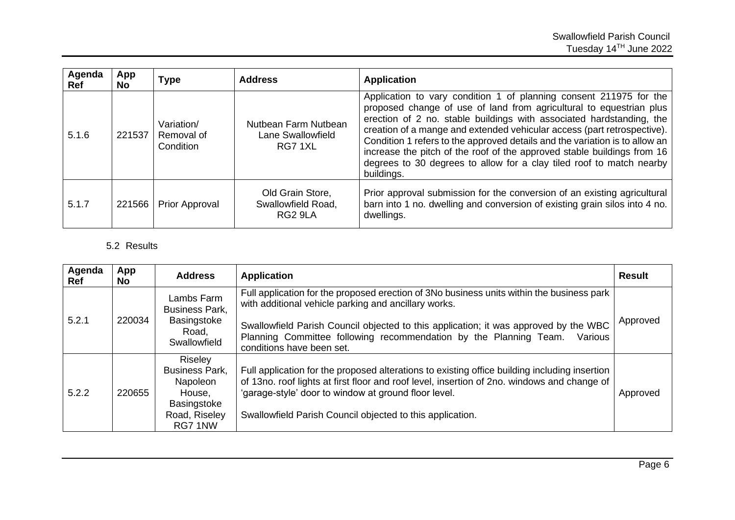| Agenda<br><b>Ref</b> | App<br><b>No</b> | <b>Type</b>                           | <b>Address</b>                                       | <b>Application</b>                                                                                                                                                                                                                                                                                                                                                                                                                                                                                                                           |
|----------------------|------------------|---------------------------------------|------------------------------------------------------|----------------------------------------------------------------------------------------------------------------------------------------------------------------------------------------------------------------------------------------------------------------------------------------------------------------------------------------------------------------------------------------------------------------------------------------------------------------------------------------------------------------------------------------------|
| 5.1.6                | 221537           | Variation/<br>Removal of<br>Condition | Nutbean Farm Nutbean<br>Lane Swallowfield<br>RG7 1XL | Application to vary condition 1 of planning consent 211975 for the<br>proposed change of use of land from agricultural to equestrian plus<br>erection of 2 no. stable buildings with associated hardstanding, the<br>creation of a mange and extended vehicular access (part retrospective).<br>Condition 1 refers to the approved details and the variation is to allow an<br>increase the pitch of the roof of the approved stable buildings from 16<br>degrees to 30 degrees to allow for a clay tiled roof to match nearby<br>buildings. |
| 5.1.7                | 221566           | Prior Approval                        | Old Grain Store,<br>Swallowfield Road,<br>RG2 9LA    | Prior approval submission for the conversion of an existing agricultural<br>barn into 1 no. dwelling and conversion of existing grain silos into 4 no.<br>dwellings.                                                                                                                                                                                                                                                                                                                                                                         |

# 5.2 Results

| Agenda<br><b>Ref</b> | App<br><b>No</b> | <b>Address</b>                                                                                    | <b>Application</b>                                                                                                                                                                                                                                                                                                                                     | <b>Result</b> |
|----------------------|------------------|---------------------------------------------------------------------------------------------------|--------------------------------------------------------------------------------------------------------------------------------------------------------------------------------------------------------------------------------------------------------------------------------------------------------------------------------------------------------|---------------|
| 5.2.1                | 220034           | Lambs Farm<br><b>Business Park,</b><br>Basingstoke<br>Road,<br>Swallowfield                       | Full application for the proposed erection of 3No business units within the business park<br>with additional vehicle parking and ancillary works.<br>Swallowfield Parish Council objected to this application; it was approved by the WBC<br>Planning Committee following recommendation by the Planning Team.<br>Various<br>conditions have been set. | Approved      |
| 5.2.2                | 220655           | Riseley<br><b>Business Park,</b><br>Napoleon<br>House,<br>Basingstoke<br>Road, Riseley<br>RG7 1NW | Full application for the proposed alterations to existing office building including insertion<br>of 13no. roof lights at first floor and roof level, insertion of 2no. windows and change of<br>'garage-style' door to window at ground floor level.<br>Swallowfield Parish Council objected to this application.                                      | Approved      |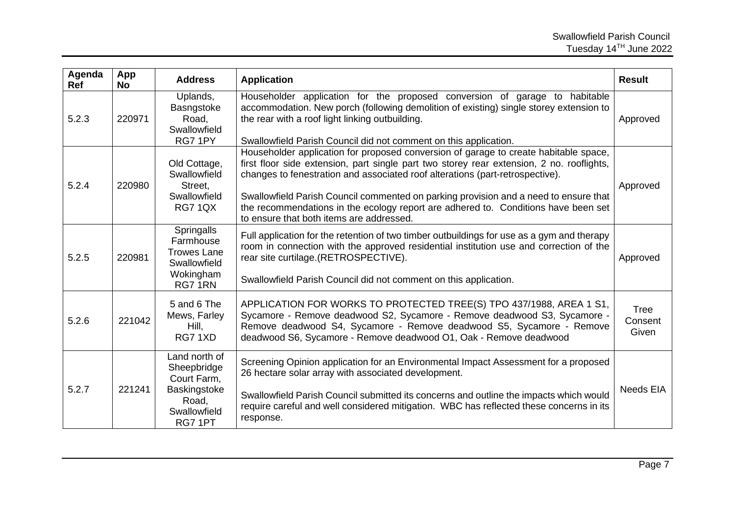| Agenda<br><b>Ref</b> | App<br><b>No</b> | <b>Address</b>                                                                                  | <b>Application</b>                                                                                                                                                                                                                                                                                                                                                                                                                                                                           | <b>Result</b>            |
|----------------------|------------------|-------------------------------------------------------------------------------------------------|----------------------------------------------------------------------------------------------------------------------------------------------------------------------------------------------------------------------------------------------------------------------------------------------------------------------------------------------------------------------------------------------------------------------------------------------------------------------------------------------|--------------------------|
| 5.2.3                | 220971           | Uplands,<br>Basngstoke<br>Road,<br>Swallowfield<br>RG7 1PY                                      | Householder application for the proposed conversion of garage to habitable<br>accommodation. New porch (following demolition of existing) single storey extension to<br>the rear with a roof light linking outbuilding.<br>Swallowfield Parish Council did not comment on this application.                                                                                                                                                                                                  | Approved                 |
| 5.2.4                | 220980           | Old Cottage,<br>Swallowfield<br>Street,<br>Swallowfield<br><b>RG7 1QX</b>                       | Householder application for proposed conversion of garage to create habitable space,<br>first floor side extension, part single part two storey rear extension, 2 no. rooflights,<br>changes to fenestration and associated roof alterations (part-retrospective).<br>Swallowfield Parish Council commented on parking provision and a need to ensure that<br>the recommendations in the ecology report are adhered to. Conditions have been set<br>to ensure that both items are addressed. | Approved                 |
| 5.2.5                | 220981           | Springalls<br>Farmhouse<br><b>Trowes Lane</b><br>Swallowfield<br>Wokingham<br>RG71RN            | Full application for the retention of two timber outbuildings for use as a gym and therapy<br>room in connection with the approved residential institution use and correction of the<br>rear site curtilage.(RETROSPECTIVE).<br>Swallowfield Parish Council did not comment on this application.                                                                                                                                                                                             | Approved                 |
| 5.2.6                | 221042           | 5 and 6 The<br>Mews, Farley<br>Hill,<br>RG71XD                                                  | APPLICATION FOR WORKS TO PROTECTED TREE(S) TPO 437/1988, AREA 1 S1,<br>Sycamore - Remove deadwood S2, Sycamore - Remove deadwood S3, Sycamore -<br>Remove deadwood S4, Sycamore - Remove deadwood S5, Sycamore - Remove<br>deadwood S6, Sycamore - Remove deadwood O1, Oak - Remove deadwood                                                                                                                                                                                                 | Tree<br>Consent<br>Given |
| 5.2.7                | 221241           | Land north of<br>Sheepbridge<br>Court Farm,<br>Baskingstoke<br>Road,<br>Swallowfield<br>RG7 1PT | Screening Opinion application for an Environmental Impact Assessment for a proposed<br>26 hectare solar array with associated development.<br>Swallowfield Parish Council submitted its concerns and outline the impacts which would<br>require careful and well considered mitigation. WBC has reflected these concerns in its<br>response.                                                                                                                                                 | Needs EIA                |